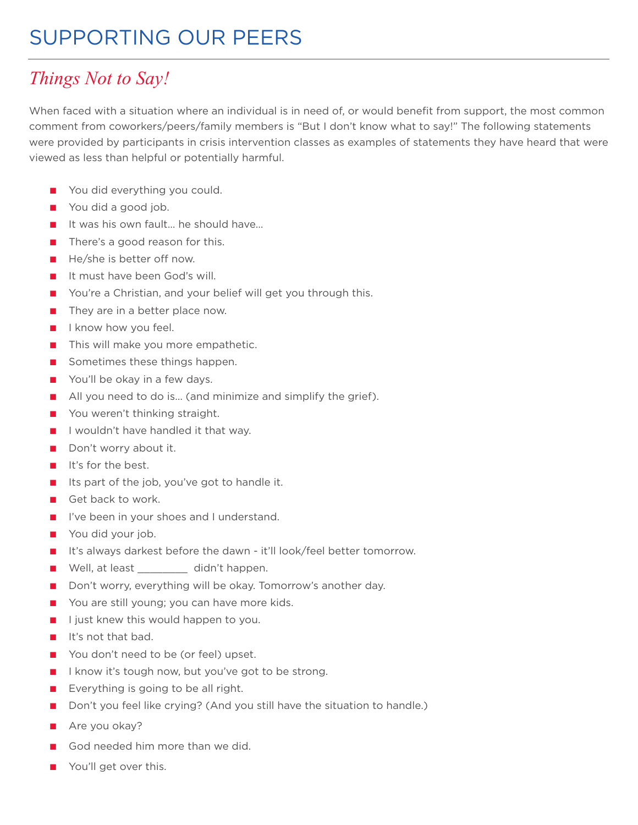## SUPPORTING OUR PEERS

## *Things Not to Say!*

When faced with a situation where an individual is in need of, or would benefit from support, the most common comment from coworkers/peers/family members is "But I don't know what to say!" The following statements were provided by participants in crisis intervention classes as examples of statements they have heard that were viewed as less than helpful or potentially harmful.

- You did everything you could.
- You did a good job.
- It was his own fault... he should have...
- There's a good reason for this.
- He/she is better off now.
- It must have been God's will.
- You're a Christian, and your belief will get you through this.
- They are in a better place now.
- I know how you feel.
- This will make you more empathetic.
- Sometimes these things happen.
- You'll be okay in a few days.
- All you need to do is... (and minimize and simplify the grief).
- You weren't thinking straight.
- I wouldn't have handled it that way.
- Don't worry about it.
- It's for the best.
- Its part of the job, you've got to handle it.
- Get back to work.
- I've been in your shoes and I understand.
- You did your job.
- It's always darkest before the dawn it'll look/feel better tomorrow.
- Well, at least didn't happen.
- Don't worry, everything will be okay. Tomorrow's another day.
- You are still young; you can have more kids.
- I just knew this would happen to you.
- It's not that bad.
- You don't need to be (or feel) upset.
- I know it's tough now, but you've got to be strong.
- Everything is going to be all right.
- Don't you feel like crying? (And you still have the situation to handle.)
- Are you okay?
- God needed him more than we did.
- You'll get over this.